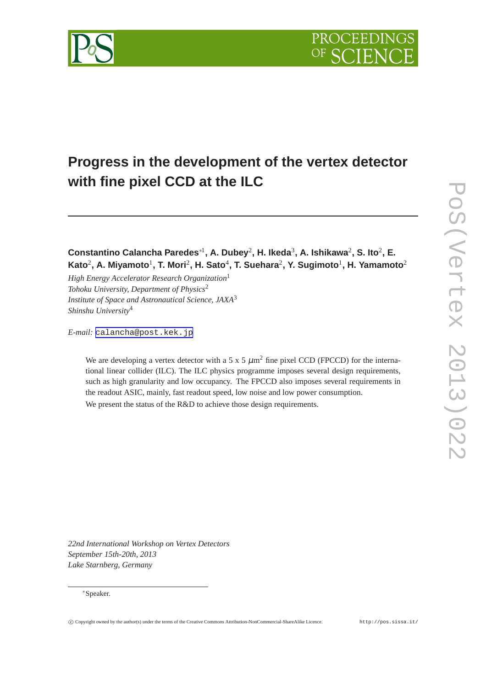



**Constantino Calancha Paredes**∗<sup>1</sup> **, A. Dubey**<sup>2</sup> **, H. Ikeda**<sup>3</sup> **, A. Ishikawa**<sup>2</sup> **, S. Ito**<sup>2</sup> **, E.**  $\mathsf{Kato}^2$ , A. Miyamoto $^1$ , T. Mori $^2$ , H. Sato $^4$ , T. Suehara $^2$ , Y. Sugimoto $^1$ , H. Yamamoto $^2$ 

*High Energy Accelerator Research Organization*<sup>1</sup> *Tohoku University, Department of Physics*<sup>2</sup> *Institute of Space and Astronautical Science, JAXA*<sup>3</sup> *Shinshu University*<sup>4</sup>

*E-mail:* [calancha@post.kek.jp](mailto:calancha@post.kek.jp)

We are developing a vertex detector with a 5 x 5  $\mu$ m<sup>2</sup> fine pixel CCD (FPCCD) for the international linear collider (ILC). The ILC physics programme imposes several design requirements, such as high granularity and low occupancy. The FPCCD also imposes several requirements in the readout ASIC, mainly, fast readout speed, low noise and low power consumption. We present the status of the R&D to achieve those design requirements.

*22nd International Workshop on Vertex Detectors September 15th-20th, 2013 Lake Starnberg, Germany*

### <sup>∗</sup>Speaker.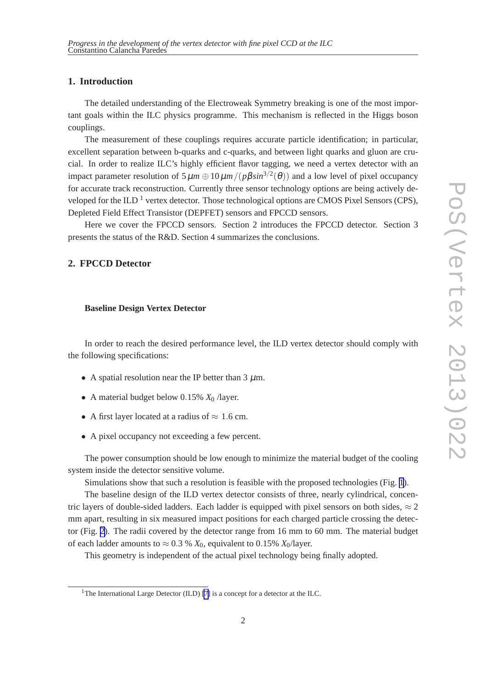## **1. Introduction**

The detailed understanding of the Electroweak Symmetry breaking is one of the most important goals within the ILC physics programme. This mechanism is reflected in the Higgs boson couplings.

The measurement of these couplings requires accurate particle identification; in particular, excellent separation between b-quarks and c-quarks, and between light quarks and gluon are crucial. In order to realize ILC's highly efficient flavor tagging, we need a vertex detector with an impact parameter resolution of  $5 \mu m \oplus 10 \mu m / (p \beta \sin^{3/2}(\theta))$  and a low level of pixel occupancy for accurate track reconstruction. Currently three sensor technology options are being actively developed for the ILD<sup>1</sup> vertex detector. Those technological options are CMOS Pixel Sensors (CPS), Depleted Field Effect Transistor (DEPFET) sensors and FPCCD sensors.

Here we cover the FPCCD sensors. Section 2 introduces the FPCCD detector. Section 3 presents the status of the R&D. Section 4 summarizes the conclusions.

## **2. FPCCD Detector**

#### **Baseline Design Vertex Detector**

In order to reach the desired performance level, the ILD vertex detector should comply with the following specifications:

- A spatial resolution near the IP better than  $3 \mu m$ .
- A material budget below 0.15%  $X_0$  /layer.
- A first layer located at a radius of  $\approx 1.6$  cm.
- A pixel occupancy not exceeding a few percent.

The power consumption should be low enough to minimize the material budget of the cooling system inside the detector sensitive volume.

Simulations show that such a resolution is feasible with the proposed technologies (Fig. [1](#page-2-0)).

The baseline design of the ILD vertex detector consists of three, nearly cylindrical, concentric layers of double-sided ladders. Each ladder is equipped with pixel sensors on both sides,  $\approx 2$ mm apart, resulting in six measured impact positions for each charged particle crossing the detector (Fig. [2](#page-2-0)). The radii covered by the detector range from 16 mm to 60 mm. The material budget of each ladder amounts to  $\approx 0.3$  %  $X_0$ , equivalent to 0.15%  $X_0$ /layer.

This geometry is independent of the actual pixel technology being finally adopted.

<sup>&</sup>lt;sup>1</sup>The International Large Detector (ILD) [\[7\]](#page-6-0) is a concept for a detector at the ILC.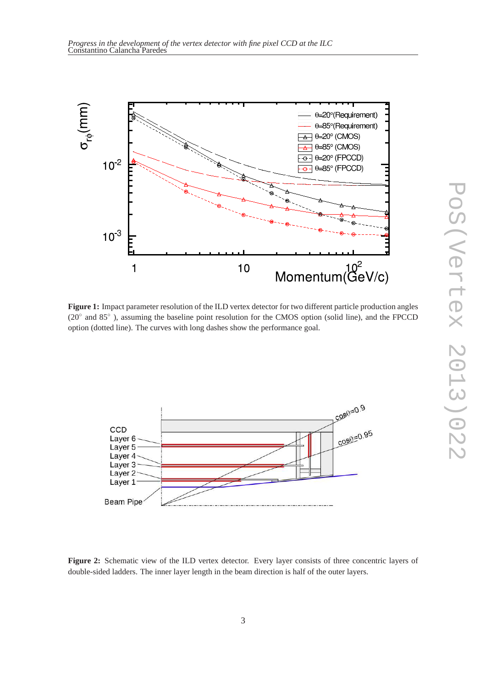<span id="page-2-0"></span>

**Figure 1:** Impact parameter resolution of the ILD vertex detector for two different particle production angles (20◦ and 85◦ ), assuming the baseline point resolution for the CMOS option (solid line), and the FPCCD option (dotted line). The curves with long dashes show the performance goal.



Figure 2: Schematic view of the ILD vertex detector. Every layer consists of three concentric layers of double-sided ladders. The inner layer length in the beam direction is half of the outer layers.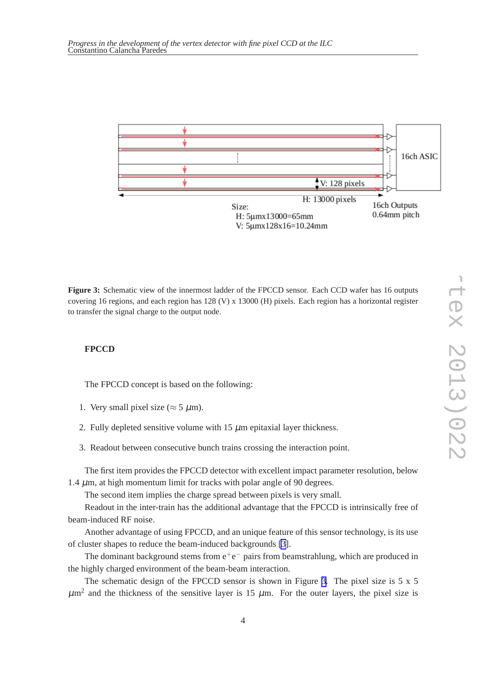

**Figure 3:** Schematic view of the innermost ladder of the FPCCD sensor. Each CCD wafer has 16 outputs covering 16 regions, and each region has 128 (V) x 13000 (H) pixels. Each region has a horizontal register to transfer the signal charge to the output node.

### **FPCCD**

The FPCCD concept is based on the following:

- 1. Very small pixel size ( $\approx$  5  $\mu$ m).
- 2. Fully depleted sensitive volume with  $15 \mu$ m epitaxial layer thickness.
- 3. Readout between consecutive bunch trains crossing the interaction point.

The first item provides the FPCCD detector with excellent impact parameter resolution, below 1.4  $\mu$ m, at high momentum limit for tracks with polar angle of 90 degrees.

The second item implies the charge spread between pixels is very small.

Readout in the inter-train has the additional advantage that the FPCCD is intrinsically free of beam-induced RF noise.

Another advantage of using FPCCD, and an unique feature of this sensor technology, is its use of cluster shapes to reduce the beam-induced backgrounds [\[3\]](#page-6-0).

The dominant background stems from  $e^+e^-$  pairs from beamstrahlung, which are produced in the highly charged environment of the beam-beam interaction.

The schematic design of the FPCCD sensor is shown in Figure 3. The pixel size is 5 x 5  $\mu$ m<sup>2</sup> and the thickness of the sensitive layer is 15  $\mu$ m. For the outer layers, the pixel size is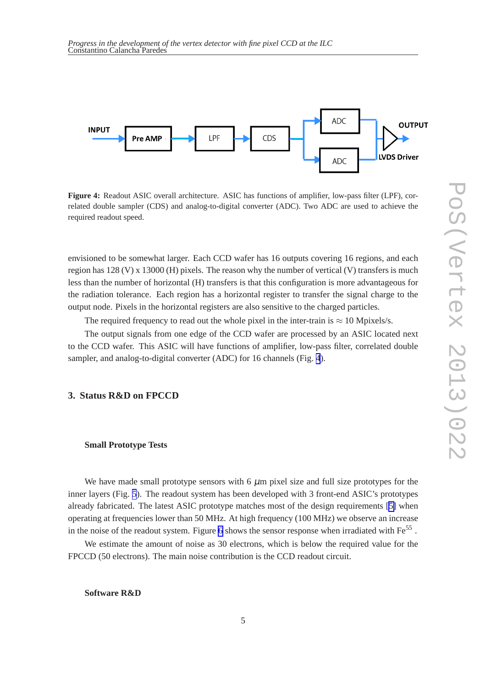

**Figure 4:** Readout ASIC overall architecture. ASIC has functions of amplifier, low-pass filter (LPF), correlated double sampler (CDS) and analog-to-digital converter (ADC). Two ADC are used to achieve the required readout speed.

envisioned to be somewhat larger. Each CCD wafer has 16 outputs covering 16 regions, and each region has  $128$  (V) x  $13000$  (H) pixels. The reason why the number of vertical (V) transfers is much less than the number of horizontal (H) transfers is that this configuration is more advantageous for the radiation tolerance. Each region has a horizontal register to transfer the signal charge to the output node. Pixels in the horizontal registers are also sensitive to the charged particles.

The required frequency to read out the whole pixel in the inter-train is  $\approx 10$  Mpixels/s.

The output signals from one edge of the CCD wafer are processed by an ASIC located next to the CCD wafer. This ASIC will have functions of amplifier, low-pass filter, correlated double sampler, and analog-to-digital converter (ADC) for 16 channels (Fig. 4).

## **3. Status R&D on FPCCD**

#### **Small Prototype Tests**

We have made small prototype sensors with  $6 \mu m$  pixel size and full size prototypes for the inner layers (Fig. [5](#page-5-0)). The readout system has been developed with 3 front-end ASIC's prototypes already fabricated. The latest ASIC prototype matches most of the design requirements [\[5\]](#page-6-0) when operating at frequencies lower than 50 MHz. At high frequency (100 MHz) we observe an increase in the noise of the readout system. Figure [6](#page-5-0) shows the sensor response when irradiated with  $Fe^{55}$ .

We estimate the amount of noise as 30 electrons, which is below the required value for the FPCCD (50 electrons). The main noise contribution is the CCD readout circuit.

**Software R&D**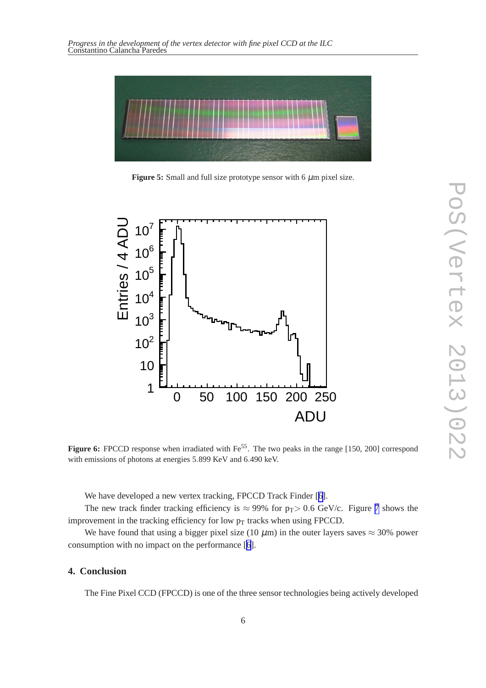<span id="page-5-0"></span>

**Figure 5:** Small and full size prototype sensor with  $6 \mu m$  pixel size.



**Figure 6:** FPCCD response when irradiated with Fe<sup>55</sup>. The two peaks in the range [150, 200] correspond with emissions of photons at energies 5.899 KeV and 6.490 keV.

We have developed a new vertex tracking, FPCCD Track Finder [[6](#page-6-0)].

The new track finder tracking efficiency is  $\approx 99\%$  for  $p_T > 0.6$  GeV/c. Figure [7](#page-6-0) shows the improvement in the tracking efficiency for low  $p_T$  tracks when using FPCCD.

We have found that using a bigger pixel size (10  $\mu$ m) in the outer layers saves  $\approx$  30% power consumption with no impact on the performance [[6](#page-6-0)].

# **4. Conclusion**

The Fine Pixel CCD (FPCCD) is one of the three sensor technologies being actively developed